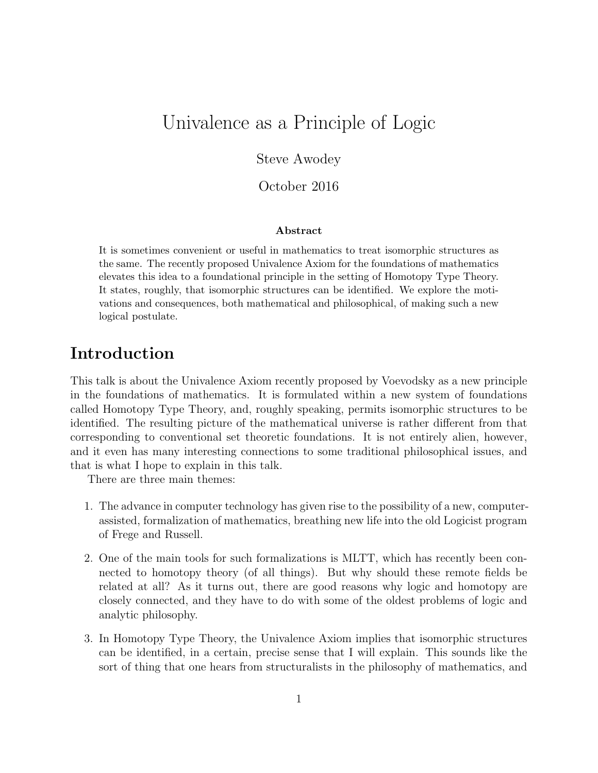# Univalence as a Principle of Logic

Steve Awodey

October 2016

#### Abstract

It is sometimes convenient or useful in mathematics to treat isomorphic structures as the same. The recently proposed Univalence Axiom for the foundations of mathematics elevates this idea to a foundational principle in the setting of Homotopy Type Theory. It states, roughly, that isomorphic structures can be identified. We explore the motivations and consequences, both mathematical and philosophical, of making such a new logical postulate.

# Introduction

This talk is about the Univalence Axiom recently proposed by Voevodsky as a new principle in the foundations of mathematics. It is formulated within a new system of foundations called Homotopy Type Theory, and, roughly speaking, permits isomorphic structures to be identified. The resulting picture of the mathematical universe is rather different from that corresponding to conventional set theoretic foundations. It is not entirely alien, however, and it even has many interesting connections to some traditional philosophical issues, and that is what I hope to explain in this talk.

There are three main themes:

- 1. The advance in computer technology has given rise to the possibility of a new, computerassisted, formalization of mathematics, breathing new life into the old Logicist program of Frege and Russell.
- 2. One of the main tools for such formalizations is MLTT, which has recently been connected to homotopy theory (of all things). But why should these remote fields be related at all? As it turns out, there are good reasons why logic and homotopy are closely connected, and they have to do with some of the oldest problems of logic and analytic philosophy.
- 3. In Homotopy Type Theory, the Univalence Axiom implies that isomorphic structures can be identified, in a certain, precise sense that I will explain. This sounds like the sort of thing that one hears from structuralists in the philosophy of mathematics, and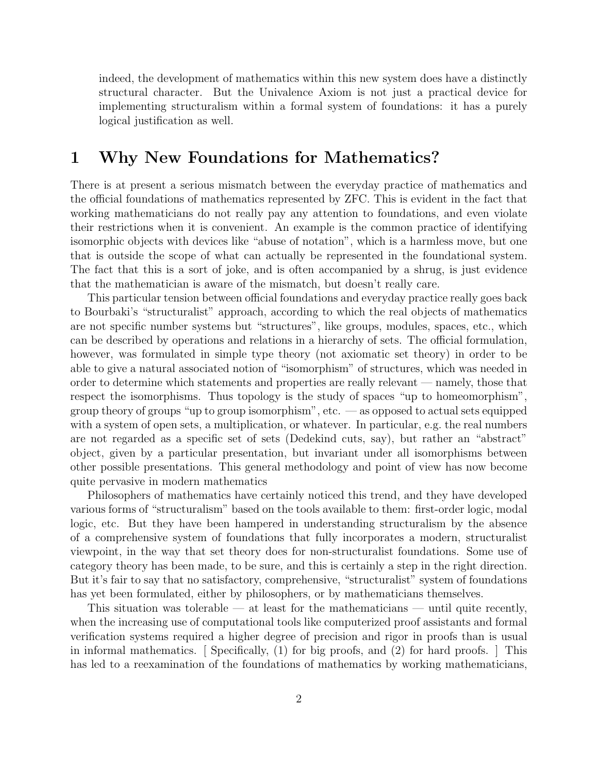indeed, the development of mathematics within this new system does have a distinctly structural character. But the Univalence Axiom is not just a practical device for implementing structuralism within a formal system of foundations: it has a purely logical justification as well.

### 1 Why New Foundations for Mathematics?

There is at present a serious mismatch between the everyday practice of mathematics and the official foundations of mathematics represented by ZFC. This is evident in the fact that working mathematicians do not really pay any attention to foundations, and even violate their restrictions when it is convenient. An example is the common practice of identifying isomorphic objects with devices like "abuse of notation", which is a harmless move, but one that is outside the scope of what can actually be represented in the foundational system. The fact that this is a sort of joke, and is often accompanied by a shrug, is just evidence that the mathematician is aware of the mismatch, but doesn't really care.

This particular tension between official foundations and everyday practice really goes back to Bourbaki's "structuralist" approach, according to which the real objects of mathematics are not specific number systems but "structures", like groups, modules, spaces, etc., which can be described by operations and relations in a hierarchy of sets. The official formulation, however, was formulated in simple type theory (not axiomatic set theory) in order to be able to give a natural associated notion of "isomorphism" of structures, which was needed in order to determine which statements and properties are really relevant — namely, those that respect the isomorphisms. Thus topology is the study of spaces "up to homeomorphism", group theory of groups "up to group isomorphism", etc. — as opposed to actual sets equipped with a system of open sets, a multiplication, or whatever. In particular, e.g. the real numbers are not regarded as a specific set of sets (Dedekind cuts, say), but rather an "abstract" object, given by a particular presentation, but invariant under all isomorphisms between other possible presentations. This general methodology and point of view has now become quite pervasive in modern mathematics

Philosophers of mathematics have certainly noticed this trend, and they have developed various forms of "structuralism" based on the tools available to them: first-order logic, modal logic, etc. But they have been hampered in understanding structuralism by the absence of a comprehensive system of foundations that fully incorporates a modern, structuralist viewpoint, in the way that set theory does for non-structuralist foundations. Some use of category theory has been made, to be sure, and this is certainly a step in the right direction. But it's fair to say that no satisfactory, comprehensive, "structuralist" system of foundations has yet been formulated, either by philosophers, or by mathematicians themselves.

This situation was tolerable — at least for the mathematicians — until quite recently, when the increasing use of computational tools like computerized proof assistants and formal verification systems required a higher degree of precision and rigor in proofs than is usual in informal mathematics. [ Specifically,  $(1)$  for big proofs, and  $(2)$  for hard proofs. ] This has led to a reexamination of the foundations of mathematics by working mathematicians,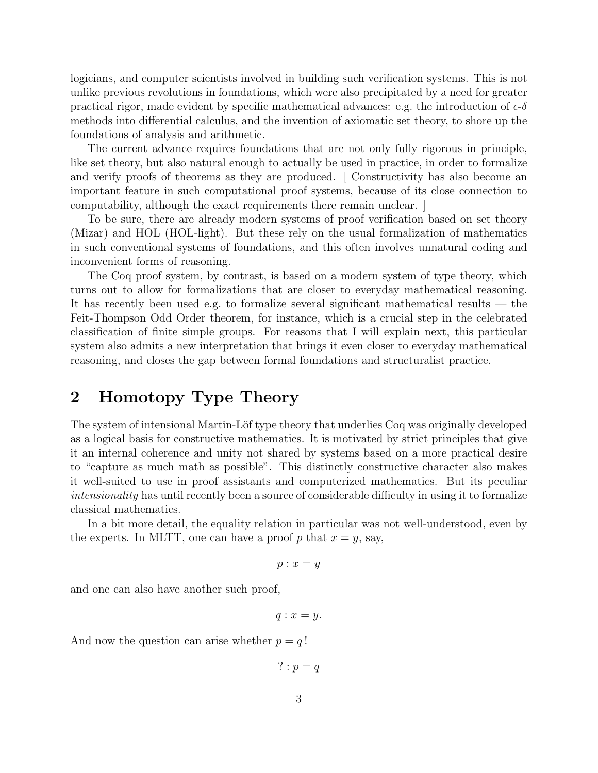logicians, and computer scientists involved in building such verification systems. This is not unlike previous revolutions in foundations, which were also precipitated by a need for greater practical rigor, made evident by specific mathematical advances: e.g. the introduction of  $\epsilon$ -δ methods into differential calculus, and the invention of axiomatic set theory, to shore up the foundations of analysis and arithmetic.

The current advance requires foundations that are not only fully rigorous in principle, like set theory, but also natural enough to actually be used in practice, in order to formalize and verify proofs of theorems as they are produced. [ Constructivity has also become an important feature in such computational proof systems, because of its close connection to computability, although the exact requirements there remain unclear. ]

To be sure, there are already modern systems of proof verification based on set theory (Mizar) and HOL (HOL-light). But these rely on the usual formalization of mathematics in such conventional systems of foundations, and this often involves unnatural coding and inconvenient forms of reasoning.

The Coq proof system, by contrast, is based on a modern system of type theory, which turns out to allow for formalizations that are closer to everyday mathematical reasoning. It has recently been used e.g. to formalize several significant mathematical results — the Feit-Thompson Odd Order theorem, for instance, which is a crucial step in the celebrated classification of finite simple groups. For reasons that I will explain next, this particular system also admits a new interpretation that brings it even closer to everyday mathematical reasoning, and closes the gap between formal foundations and structuralist practice.

## 2 Homotopy Type Theory

The system of intensional Martin-Löf type theory that underlies Coq was originally developed as a logical basis for constructive mathematics. It is motivated by strict principles that give it an internal coherence and unity not shared by systems based on a more practical desire to "capture as much math as possible". This distinctly constructive character also makes it well-suited to use in proof assistants and computerized mathematics. But its peculiar intensionality has until recently been a source of considerable difficulty in using it to formalize classical mathematics.

In a bit more detail, the equality relation in particular was not well-understood, even by the experts. In MLTT, one can have a proof p that  $x = y$ , say,

$$
p: x = y
$$

and one can also have another such proof,

$$
q: x = y.
$$

And now the question can arise whether  $p = q!$ 

? :  $p = q$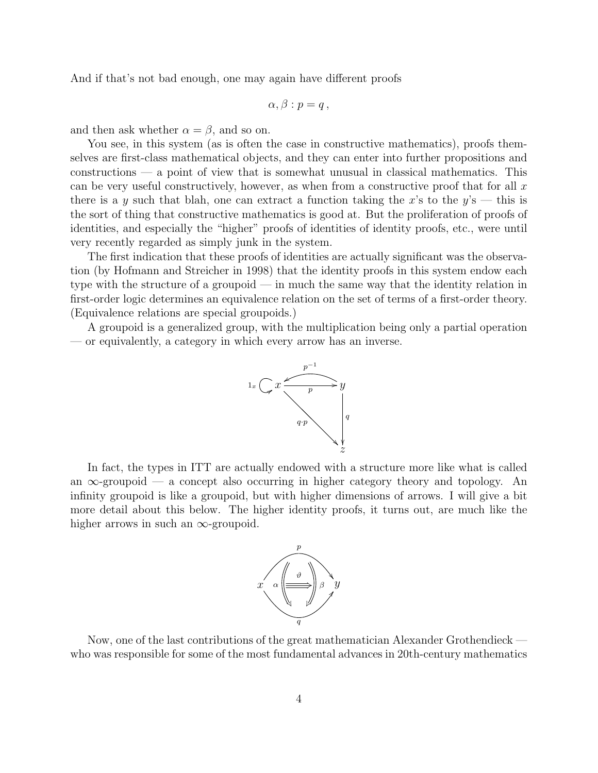And if that's not bad enough, one may again have different proofs

$$
\alpha,\beta:p=q\,,
$$

and then ask whether  $\alpha = \beta$ , and so on.

You see, in this system (as is often the case in constructive mathematics), proofs themselves are first-class mathematical objects, and they can enter into further propositions and constructions — a point of view that is somewhat unusual in classical mathematics. This can be very useful constructively, however, as when from a constructive proof that for all  $x$ there is a y such that blah, one can extract a function taking the x's to the  $y$ 's — this is the sort of thing that constructive mathematics is good at. But the proliferation of proofs of identities, and especially the "higher" proofs of identities of identity proofs, etc., were until very recently regarded as simply junk in the system.

The first indication that these proofs of identities are actually significant was the observation (by Hofmann and Streicher in 1998) that the identity proofs in this system endow each type with the structure of a groupoid — in much the same way that the identity relation in first-order logic determines an equivalence relation on the set of terms of a first-order theory. (Equivalence relations are special groupoids.)

A groupoid is a generalized group, with the multiplication being only a partial operation — or equivalently, a category in which every arrow has an inverse.



In fact, the types in ITT are actually endowed with a structure more like what is called an  $\infty$ -groupoid — a concept also occurring in higher category theory and topology. An infinity groupoid is like a groupoid, but with higher dimensions of arrows. I will give a bit more detail about this below. The higher identity proofs, it turns out, are much like the higher arrows in such an  $\infty$ -groupoid.



Now, one of the last contributions of the great mathematician Alexander Grothendieck who was responsible for some of the most fundamental advances in 20th-century mathematics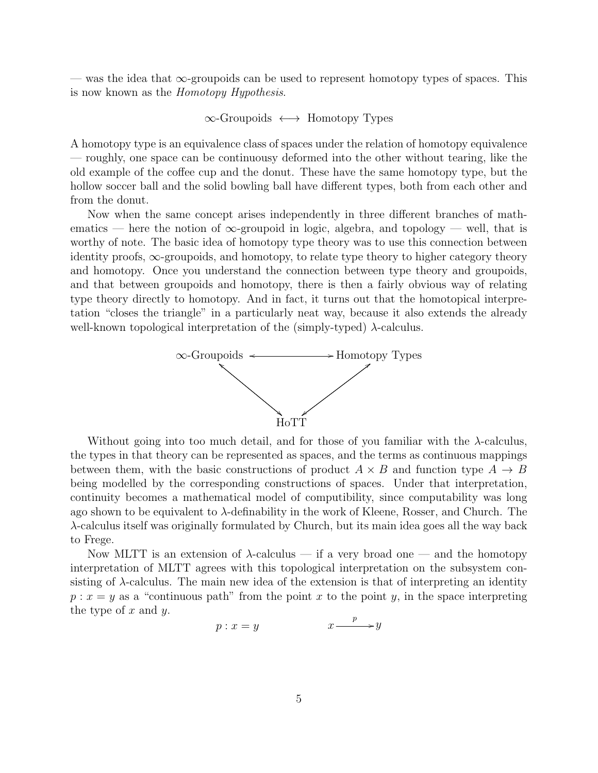— was the idea that  $\infty$ -groupoids can be used to represent homotopy types of spaces. This is now known as the Homotopy Hypothesis.

∞-Groupoids ←→ Homotopy Types

A homotopy type is an equivalence class of spaces under the relation of homotopy equivalence — roughly, one space can be continuousy deformed into the other without tearing, like the old example of the coffee cup and the donut. These have the same homotopy type, but the hollow soccer ball and the solid bowling ball have different types, both from each other and from the donut.

Now when the same concept arises independently in three different branches of mathematics — here the notion of  $\infty$ -groupoid in logic, algebra, and topology — well, that is worthy of note. The basic idea of homotopy type theory was to use this connection between identity proofs,  $\infty$ -groupoids, and homotopy, to relate type theory to higher category theory and homotopy. Once you understand the connection between type theory and groupoids, and that between groupoids and homotopy, there is then a fairly obvious way of relating type theory directly to homotopy. And in fact, it turns out that the homotopical interpretation "closes the triangle" in a particularly neat way, because it also extends the already well-known topological interpretation of the (simply-typed)  $\lambda$ -calculus.



Without going into too much detail, and for those of you familiar with the λ-calculus, the types in that theory can be represented as spaces, and the terms as continuous mappings between them, with the basic constructions of product  $A \times B$  and function type  $A \rightarrow B$ being modelled by the corresponding constructions of spaces. Under that interpretation, continuity becomes a mathematical model of computibility, since computability was long ago shown to be equivalent to  $\lambda$ -definability in the work of Kleene, Rosser, and Church. The λ-calculus itself was originally formulated by Church, but its main idea goes all the way back to Frege.

Now MLTT is an extension of  $\lambda$ -calculus — if a very broad one — and the homotopy interpretation of MLTT agrees with this topological interpretation on the subsystem consisting of  $\lambda$ -calculus. The main new idea of the extension is that of interpreting an identity  $p: x = y$  as a "continuous path" from the point x to the point y, in the space interpreting the type of  $x$  and  $y$ .

$$
p: x = y \qquad x \xrightarrow{p} y
$$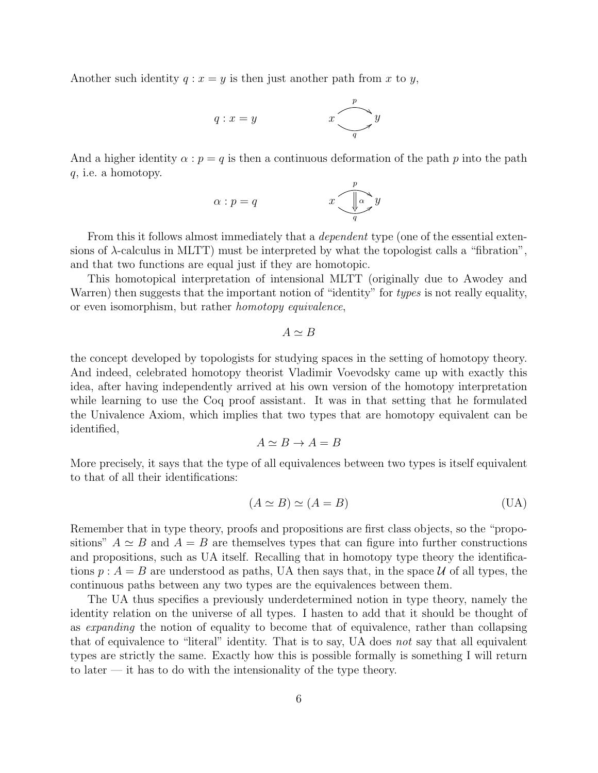Another such identity  $q : x = y$  is then just another path from x to y,

$$
q: x = y \qquad x \qquad y
$$

And a higher identity  $\alpha$ :  $p = q$  is then a continuous deformation of the path p into the path q, i.e. a homotopy.

$$
\alpha : p = q \qquad \qquad x \qquad \begin{array}{c} p \\ \downarrow \alpha \\ q \end{array} y
$$

From this it follows almost immediately that a *dependent* type (one of the essential extensions of  $\lambda$ -calculus in MLTT) must be interpreted by what the topologist calls a "fibration", and that two functions are equal just if they are homotopic.

This homotopical interpretation of intensional MLTT (originally due to Awodey and Warren) then suggests that the important notion of "identity" for types is not really equality, or even isomorphism, but rather homotopy equivalence,

 $A \simeq B$ 

the concept developed by topologists for studying spaces in the setting of homotopy theory. And indeed, celebrated homotopy theorist Vladimir Voevodsky came up with exactly this idea, after having independently arrived at his own version of the homotopy interpretation while learning to use the Coq proof assistant. It was in that setting that he formulated the Univalence Axiom, which implies that two types that are homotopy equivalent can be identified,

$$
A \simeq B \to A = B
$$

More precisely, it says that the type of all equivalences between two types is itself equivalent to that of all their identifications:

$$
(A \simeq B) \simeq (A = B) \tag{UA}
$$

Remember that in type theory, proofs and propositions are first class objects, so the "propositions"  $A \simeq B$  and  $A = B$  are themselves types that can figure into further constructions and propositions, such as UA itself. Recalling that in homotopy type theory the identifications  $p : A = B$  are understood as paths, UA then says that, in the space U of all types, the continuous paths between any two types are the equivalences between them.

The UA thus specifies a previously underdetermined notion in type theory, namely the identity relation on the universe of all types. I hasten to add that it should be thought of as expanding the notion of equality to become that of equivalence, rather than collapsing that of equivalence to "literal" identity. That is to say, UA does not say that all equivalent types are strictly the same. Exactly how this is possible formally is something I will return to later  $-$  it has to do with the intensionality of the type theory.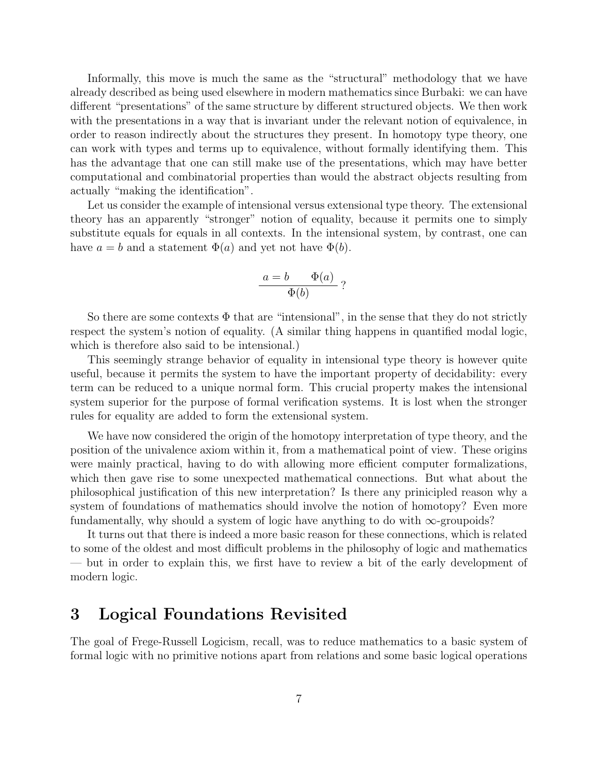Informally, this move is much the same as the "structural" methodology that we have already described as being used elsewhere in modern mathematics since Burbaki: we can have different "presentations" of the same structure by different structured objects. We then work with the presentations in a way that is invariant under the relevant notion of equivalence, in order to reason indirectly about the structures they present. In homotopy type theory, one can work with types and terms up to equivalence, without formally identifying them. This has the advantage that one can still make use of the presentations, which may have better computational and combinatorial properties than would the abstract objects resulting from actually "making the identification".

Let us consider the example of intensional versus extensional type theory. The extensional theory has an apparently "stronger" notion of equality, because it permits one to simply substitute equals for equals in all contexts. In the intensional system, by contrast, one can have  $a = b$  and a statement  $\Phi(a)$  and yet not have  $\Phi(b)$ .

$$
\frac{a=b-\Phi(a)}{\Phi(b)}
$$
?

So there are some contexts  $\Phi$  that are "intensional", in the sense that they do not strictly respect the system's notion of equality. (A similar thing happens in quantified modal logic, which is therefore also said to be intensional.)

This seemingly strange behavior of equality in intensional type theory is however quite useful, because it permits the system to have the important property of decidability: every term can be reduced to a unique normal form. This crucial property makes the intensional system superior for the purpose of formal verification systems. It is lost when the stronger rules for equality are added to form the extensional system.

We have now considered the origin of the homotopy interpretation of type theory, and the position of the univalence axiom within it, from a mathematical point of view. These origins were mainly practical, having to do with allowing more efficient computer formalizations, which then gave rise to some unexpected mathematical connections. But what about the philosophical justification of this new interpretation? Is there any prinicipled reason why a system of foundations of mathematics should involve the notion of homotopy? Even more fundamentally, why should a system of logic have anything to do with  $\infty$ -groupoids?

It turns out that there is indeed a more basic reason for these connections, which is related to some of the oldest and most difficult problems in the philosophy of logic and mathematics — but in order to explain this, we first have to review a bit of the early development of modern logic.

#### 3 Logical Foundations Revisited

The goal of Frege-Russell Logicism, recall, was to reduce mathematics to a basic system of formal logic with no primitive notions apart from relations and some basic logical operations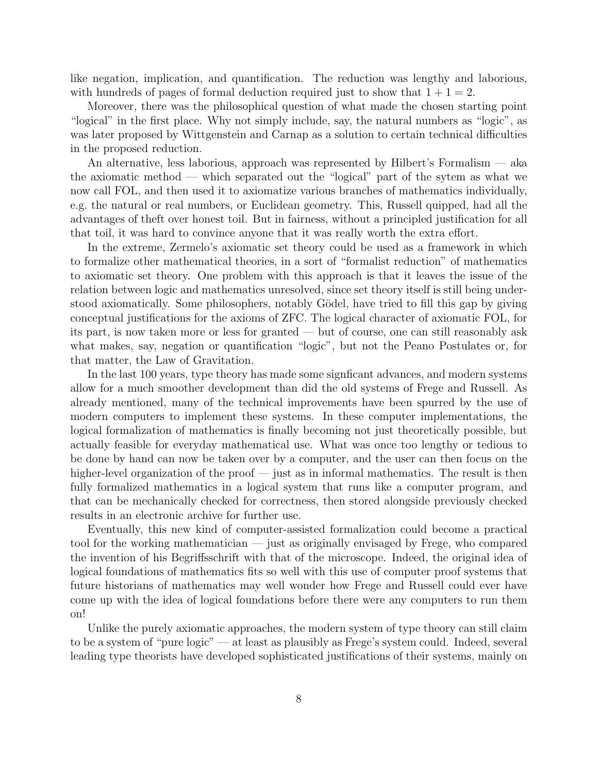like negation, implication, and quantification. The reduction was lengthy and laborious, with hundreds of pages of formal deduction required just to show that  $1 + 1 = 2$ .

Moreover, there was the philosophical question of what made the chosen starting point "logical" in the first place. Why not simply include, say, the natural numbers as "logic", as was later proposed by Wittgenstein and Carnap as a solution to certain technical difficulties in the proposed reduction.

An alternative, less laborious, approach was represented by Hilbert's Formalism — aka the axiomatic method — which separated out the "logical" part of the sytem as what we now call FOL, and then used it to axiomatize various branches of mathematics individually, e.g. the natural or real numbers, or Euclidean geometry. This, Russell quipped, had all the advantages of theft over honest toil. But in fairness, without a principled justification for all that toil, it was hard to convince anyone that it was really worth the extra effort.

In the extreme, Zermelo's axiomatic set theory could be used as a framework in which to formalize other mathematical theories, in a sort of "formalist reduction" of mathematics to axiomatic set theory. One problem with this approach is that it leaves the issue of the relation between logic and mathematics unresolved, since set theory itself is still being understood axiomatically. Some philosophers, notably Gödel, have tried to fill this gap by giving conceptual justifications for the axioms of ZFC. The logical character of axiomatic FOL, for its part, is now taken more or less for granted — but of course, one can still reasonably ask what makes, say, negation or quantification "logic", but not the Peano Postulates or, for that matter, the Law of Gravitation.

In the last 100 years, type theory has made some signficant advances, and modern systems allow for a much smoother development than did the old systems of Frege and Russell. As already mentioned, many of the technical improvements have been spurred by the use of modern computers to implement these systems. In these computer implementations, the logical formalization of mathematics is finally becoming not just theoretically possible, but actually feasible for everyday mathematical use. What was once too lengthy or tedious to be done by hand can now be taken over by a computer, and the user can then focus on the higher-level organization of the proof — just as in informal mathematics. The result is then fully formalized mathematics in a logical system that runs like a computer program, and that can be mechanically checked for correctness, then stored alongside previously checked results in an electronic archive for further use.

Eventually, this new kind of computer-assisted formalization could become a practical tool for the working mathematician — just as originally envisaged by Frege, who compared the invention of his Begriffsschrift with that of the microscope. Indeed, the original idea of logical foundations of mathematics fits so well with this use of computer proof systems that future historians of mathematics may well wonder how Frege and Russell could ever have come up with the idea of logical foundations before there were any computers to run them on!

Unlike the purely axiomatic approaches, the modern system of type theory can still claim to be a system of "pure logic" — at least as plausibly as Frege's system could. Indeed, several leading type theorists have developed sophisticated justifications of their systems, mainly on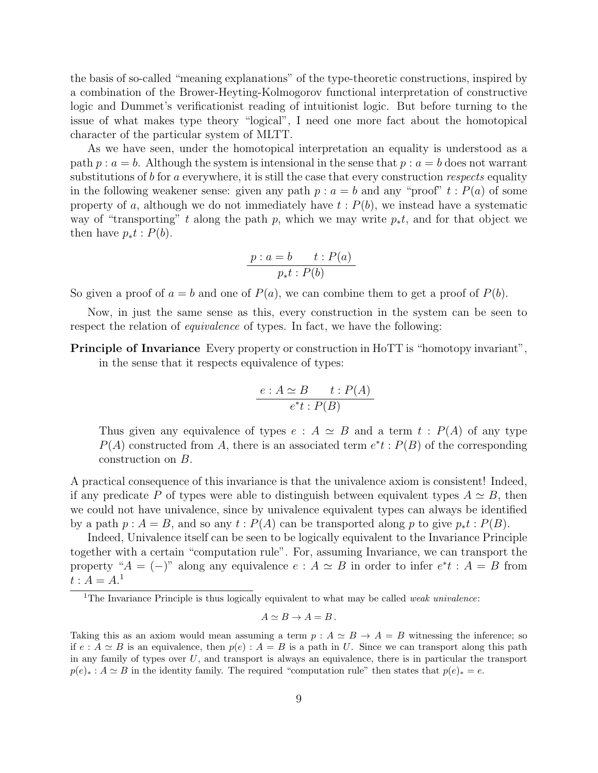the basis of so-called "meaning explanations" of the type-theoretic constructions, inspired by a combination of the Brower-Heyting-Kolmogorov functional interpretation of constructive logic and Dummet's verificationist reading of intuitionist logic. But before turning to the issue of what makes type theory "logical", I need one more fact about the homotopical character of the particular system of MLTT.

As we have seen, under the homotopical interpretation an equality is understood as a path  $p : a = b$ . Although the system is intensional in the sense that  $p : a = b$  does not warrant substitutions of b for a everywhere, it is still the case that every construction respects equality in the following weakener sense: given any path  $p : a = b$  and any "proof"  $t : P(a)$  of some property of a, although we do not immediately have  $t : P(b)$ , we instead have a systematic way of "transporting" t along the path p, which we may write  $p_*t$ , and for that object we then have  $p_*t : P(b)$ .

$$
\frac{p: a=b \qquad t: P(a)}{p_*t: P(b)}
$$

So given a proof of  $a = b$  and one of  $P(a)$ , we can combine them to get a proof of  $P(b)$ .

Now, in just the same sense as this, every construction in the system can be seen to respect the relation of *equivalence* of types. In fact, we have the following:

Principle of Invariance Every property or construction in HoTT is "homotopy invariant", in the sense that it respects equivalence of types:

$$
\frac{e: A \simeq B \qquad t: P(A)}{e^*t: P(B)}
$$

Thus given any equivalence of types  $e : A \simeq B$  and a term  $t : P(A)$  of any type  $P(A)$  constructed from A, there is an associated term  $e^*t$ :  $P(B)$  of the corresponding construction on B.

A practical consequence of this invariance is that the univalence axiom is consistent! Indeed, if any predicate P of types were able to distinguish between equivalent types  $A \simeq B$ , then we could not have univalence, since by univalence equivalent types can always be identified by a path  $p : A = B$ , and so any  $t : P(A)$  can be transported along p to give  $p_* t : P(B)$ .

Indeed, Univalence itself can be seen to be logically equivalent to the Invariance Principle together with a certain "computation rule". For, assuming Invariance, we can transport the property " $A = (-)$ " along any equivalence  $e : A \simeq B$  in order to infer  $e^*t : A = B$  from  $t : A = A^{1}$ 

$$
A \simeq B \to A = B \, .
$$

<sup>&</sup>lt;sup>1</sup>The Invariance Principle is thus logically equivalent to what may be called *weak univalence*:

Taking this as an axiom would mean assuming a term  $p : A \simeq B \rightarrow A = B$  witnessing the inference; so if  $e : A \simeq B$  is an equivalence, then  $p(e) : A = B$  is a path in U. Since we can transport along this path in any family of types over  $U$ , and transport is always an equivalence, there is in particular the transport  $p(e)$ <sup>\*</sup> : A  $\simeq$  B in the identity family. The required "computation rule" then states that  $p(e)$ <sup>\*</sup> = e.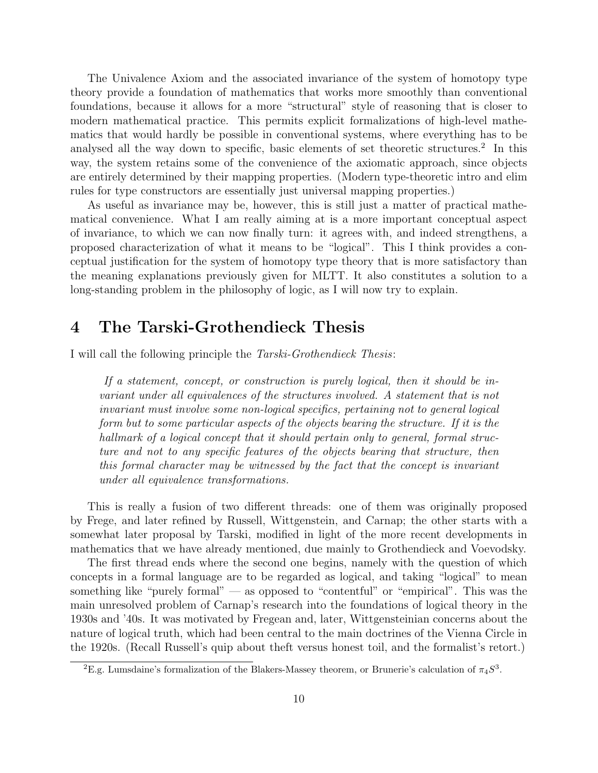The Univalence Axiom and the associated invariance of the system of homotopy type theory provide a foundation of mathematics that works more smoothly than conventional foundations, because it allows for a more "structural" style of reasoning that is closer to modern mathematical practice. This permits explicit formalizations of high-level mathematics that would hardly be possible in conventional systems, where everything has to be analysed all the way down to specific, basic elements of set theoretic structures.<sup>2</sup> In this way, the system retains some of the convenience of the axiomatic approach, since objects are entirely determined by their mapping properties. (Modern type-theoretic intro and elim rules for type constructors are essentially just universal mapping properties.)

As useful as invariance may be, however, this is still just a matter of practical mathematical convenience. What I am really aiming at is a more important conceptual aspect of invariance, to which we can now finally turn: it agrees with, and indeed strengthens, a proposed characterization of what it means to be "logical". This I think provides a conceptual justification for the system of homotopy type theory that is more satisfactory than the meaning explanations previously given for MLTT. It also constitutes a solution to a long-standing problem in the philosophy of logic, as I will now try to explain.

### 4 The Tarski-Grothendieck Thesis

I will call the following principle the Tarski-Grothendieck Thesis:

If a statement, concept, or construction is purely logical, then it should be invariant under all equivalences of the structures involved. A statement that is not invariant must involve some non-logical specifics, pertaining not to general logical form but to some particular aspects of the objects bearing the structure. If it is the hallmark of a logical concept that it should pertain only to general, formal structure and not to any specific features of the objects bearing that structure, then this formal character may be witnessed by the fact that the concept is invariant under all equivalence transformations.

This is really a fusion of two different threads: one of them was originally proposed by Frege, and later refined by Russell, Wittgenstein, and Carnap; the other starts with a somewhat later proposal by Tarski, modified in light of the more recent developments in mathematics that we have already mentioned, due mainly to Grothendieck and Voevodsky.

The first thread ends where the second one begins, namely with the question of which concepts in a formal language are to be regarded as logical, and taking "logical" to mean something like "purely formal" — as opposed to "contentful" or "empirical". This was the main unresolved problem of Carnap's research into the foundations of logical theory in the 1930s and '40s. It was motivated by Fregean and, later, Wittgensteinian concerns about the nature of logical truth, which had been central to the main doctrines of the Vienna Circle in the 1920s. (Recall Russell's quip about theft versus honest toil, and the formalist's retort.)

<sup>&</sup>lt;sup>2</sup>E.g. Lumsdaine's formalization of the Blakers-Massey theorem, or Brunerie's calculation of  $\pi_4S^3$ .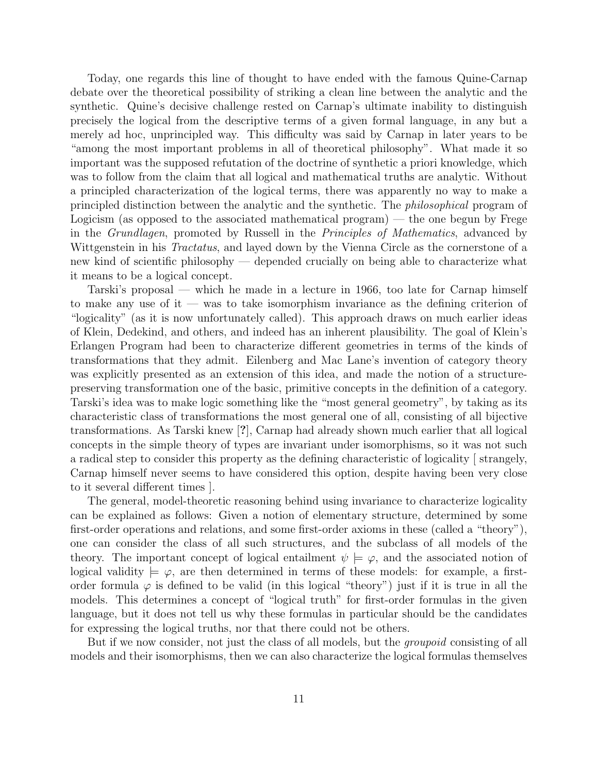Today, one regards this line of thought to have ended with the famous Quine-Carnap debate over the theoretical possibility of striking a clean line between the analytic and the synthetic. Quine's decisive challenge rested on Carnap's ultimate inability to distinguish precisely the logical from the descriptive terms of a given formal language, in any but a merely ad hoc, unprincipled way. This difficulty was said by Carnap in later years to be "among the most important problems in all of theoretical philosophy". What made it so important was the supposed refutation of the doctrine of synthetic a priori knowledge, which was to follow from the claim that all logical and mathematical truths are analytic. Without a principled characterization of the logical terms, there was apparently no way to make a principled distinction between the analytic and the synthetic. The philosophical program of Logicism (as opposed to the associated mathematical program) — the one begun by Frege in the Grundlagen, promoted by Russell in the Principles of Mathematics, advanced by Wittgenstein in his *Tractatus*, and layed down by the Vienna Circle as the cornerstone of a new kind of scientific philosophy — depended crucially on being able to characterize what it means to be a logical concept.

Tarski's proposal — which he made in a lecture in 1966, too late for Carnap himself to make any use of it — was to take isomorphism invariance as the defining criterion of "logicality" (as it is now unfortunately called). This approach draws on much earlier ideas of Klein, Dedekind, and others, and indeed has an inherent plausibility. The goal of Klein's Erlangen Program had been to characterize different geometries in terms of the kinds of transformations that they admit. Eilenberg and Mac Lane's invention of category theory was explicitly presented as an extension of this idea, and made the notion of a structurepreserving transformation one of the basic, primitive concepts in the definition of a category. Tarski's idea was to make logic something like the "most general geometry", by taking as its characteristic class of transformations the most general one of all, consisting of all bijective transformations. As Tarski knew [?], Carnap had already shown much earlier that all logical concepts in the simple theory of types are invariant under isomorphisms, so it was not such a radical step to consider this property as the defining characteristic of logicality | strangely, Carnap himself never seems to have considered this option, despite having been very close to it several different times ].

The general, model-theoretic reasoning behind using invariance to characterize logicality can be explained as follows: Given a notion of elementary structure, determined by some first-order operations and relations, and some first-order axioms in these (called a "theory"), one can consider the class of all such structures, and the subclass of all models of the theory. The important concept of logical entailment  $\psi \models \varphi$ , and the associated notion of logical validity  $\models \varphi$ , are then determined in terms of these models: for example, a firstorder formula  $\varphi$  is defined to be valid (in this logical "theory") just if it is true in all the models. This determines a concept of "logical truth" for first-order formulas in the given language, but it does not tell us why these formulas in particular should be the candidates for expressing the logical truths, nor that there could not be others.

But if we now consider, not just the class of all models, but the *groupoid* consisting of all models and their isomorphisms, then we can also characterize the logical formulas themselves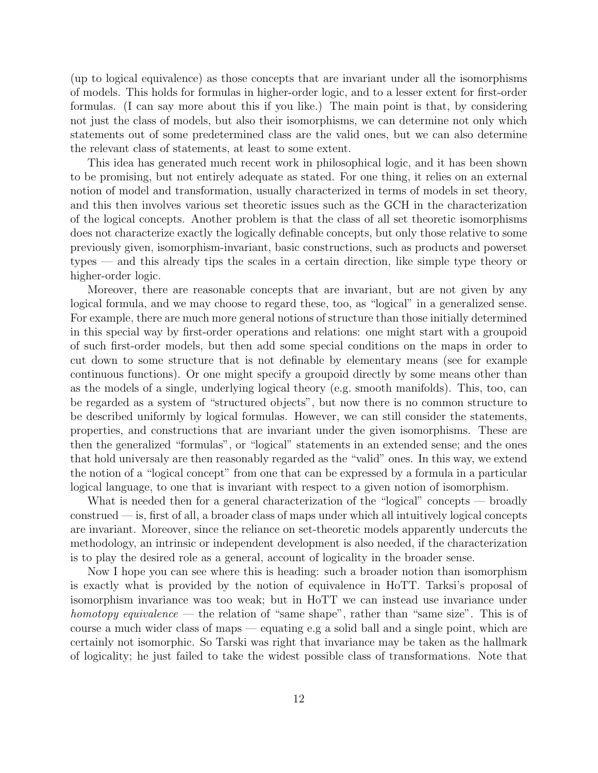(up to logical equivalence) as those concepts that are invariant under all the isomorphisms of models. This holds for formulas in higher-order logic, and to a lesser extent for first-order formulas. (I can say more about this if you like.) The main point is that, by considering not just the class of models, but also their isomorphisms, we can determine not only which statements out of some predetermined class are the valid ones, but we can also determine the relevant class of statements, at least to some extent.

This idea has generated much recent work in philosophical logic, and it has been shown to be promising, but not entirely adequate as stated. For one thing, it relies on an external notion of model and transformation, usually characterized in terms of models in set theory, and this then involves various set theoretic issues such as the GCH in the characterization of the logical concepts. Another problem is that the class of all set theoretic isomorphisms does not characterize exactly the logically definable concepts, but only those relative to some previously given, isomorphism-invariant, basic constructions, such as products and powerset types — and this already tips the scales in a certain direction, like simple type theory or higher-order logic.

Moreover, there are reasonable concepts that are invariant, but are not given by any logical formula, and we may choose to regard these, too, as "logical" in a generalized sense. For example, there are much more general notions of structure than those initially determined in this special way by first-order operations and relations: one might start with a groupoid of such first-order models, but then add some special conditions on the maps in order to cut down to some structure that is not definable by elementary means (see for example continuous functions). Or one might specify a groupoid directly by some means other than as the models of a single, underlying logical theory (e.g. smooth manifolds). This, too, can be regarded as a system of "structured objects", but now there is no common structure to be described uniformly by logical formulas. However, we can still consider the statements, properties, and constructions that are invariant under the given isomorphisms. These are then the generalized "formulas", or "logical" statements in an extended sense; and the ones that hold universaly are then reasonably regarded as the "valid" ones. In this way, we extend the notion of a "logical concept" from one that can be expressed by a formula in a particular logical language, to one that is invariant with respect to a given notion of isomorphism.

What is needed then for a general characterization of the "logical" concepts — broadly construed — is, first of all, a broader class of maps under which all intuitively logical concepts are invariant. Moreover, since the reliance on set-theoretic models apparently undercuts the methodology, an intrinsic or independent development is also needed, if the characterization is to play the desired role as a general, account of logicality in the broader sense.

Now I hope you can see where this is heading: such a broader notion than isomorphism is exactly what is provided by the notion of equivalence in HoTT. Tarksi's proposal of isomorphism invariance was too weak; but in HoTT we can instead use invariance under homotopy equivalence — the relation of "same shape", rather than "same size". This is of course a much wider class of maps — equating e.g a solid ball and a single point, which are certainly not isomorphic. So Tarski was right that invariance may be taken as the hallmark of logicality; he just failed to take the widest possible class of transformations. Note that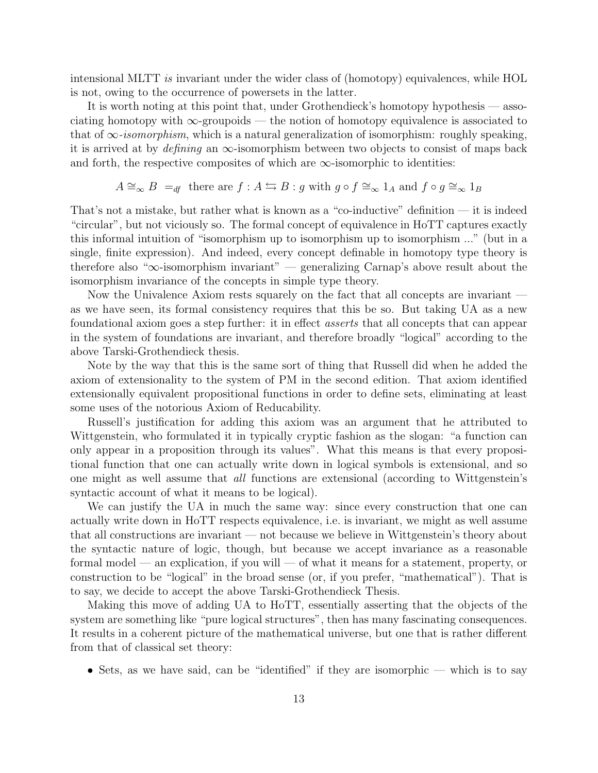intensional MLTT is invariant under the wider class of (homotopy) equivalences, while HOL is not, owing to the occurrence of powersets in the latter.

It is worth noting at this point that, under Grothendieck's homotopy hypothesis — associating homotopy with ∞-groupoids — the notion of homotopy equivalence is associated to that of  $\infty$ -isomorphism, which is a natural generalization of isomorphism: roughly speaking, it is arrived at by *defining* an  $\infty$ -isomorphism between two objects to consist of maps back and forth, the respective composites of which are  $\infty$ -isomorphic to identities:

$$
A \cong_{\infty} B =_{df}
$$
 there are  $f : A \hookrightarrow B : g$  with  $g \circ f \cong_{\infty} 1_A$  and  $f \circ g \cong_{\infty} 1_B$ 

That's not a mistake, but rather what is known as a "co-inductive" definition  $-$  it is indeed "circular", but not viciously so. The formal concept of equivalence in HoTT captures exactly this informal intuition of "isomorphism up to isomorphism up to isomorphism ..." (but in a single, finite expression). And indeed, every concept definable in homotopy type theory is therefore also "∞-isomorphism invariant" — generalizing Carnap's above result about the isomorphism invariance of the concepts in simple type theory.

Now the Univalence Axiom rests squarely on the fact that all concepts are invariant as we have seen, its formal consistency requires that this be so. But taking UA as a new foundational axiom goes a step further: it in effect asserts that all concepts that can appear in the system of foundations are invariant, and therefore broadly "logical" according to the above Tarski-Grothendieck thesis.

Note by the way that this is the same sort of thing that Russell did when he added the axiom of extensionality to the system of PM in the second edition. That axiom identified extensionally equivalent propositional functions in order to define sets, eliminating at least some uses of the notorious Axiom of Reducability.

Russell's justification for adding this axiom was an argument that he attributed to Wittgenstein, who formulated it in typically cryptic fashion as the slogan: "a function can only appear in a proposition through its values". What this means is that every propositional function that one can actually write down in logical symbols is extensional, and so one might as well assume that all functions are extensional (according to Wittgenstein's syntactic account of what it means to be logical).

We can justify the UA in much the same way: since every construction that one can actually write down in HoTT respects equivalence, i.e. is invariant, we might as well assume that all constructions are invariant — not because we believe in Wittgenstein's theory about the syntactic nature of logic, though, but because we accept invariance as a reasonable formal model — an explication, if you will — of what it means for a statement, property, or construction to be "logical" in the broad sense (or, if you prefer, "mathematical"). That is to say, we decide to accept the above Tarski-Grothendieck Thesis.

Making this move of adding UA to HoTT, essentially asserting that the objects of the system are something like "pure logical structures", then has many fascinating consequences. It results in a coherent picture of the mathematical universe, but one that is rather different from that of classical set theory:

• Sets, as we have said, can be "identified" if they are isomorphic — which is to say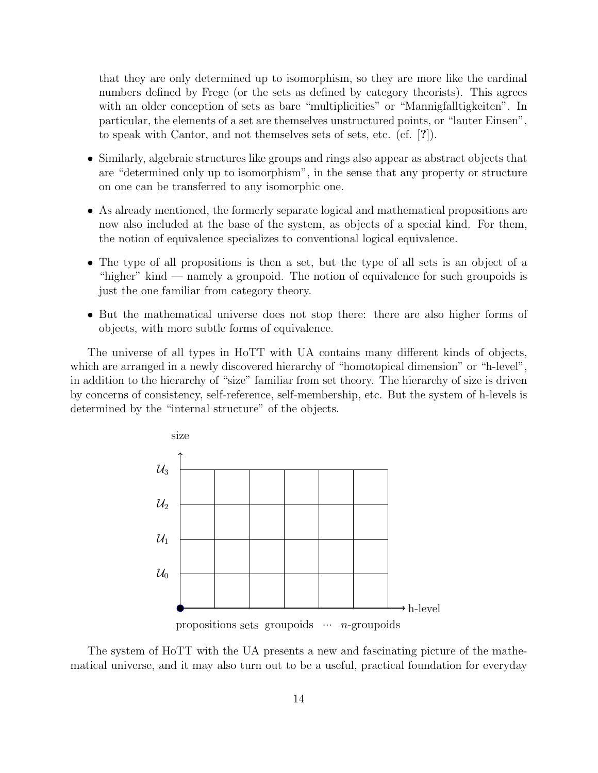that they are only determined up to isomorphism, so they are more like the cardinal numbers defined by Frege (or the sets as defined by category theorists). This agrees with an older conception of sets as bare "multiplicities" or "Mannigfalltigkeiten". In particular, the elements of a set are themselves unstructured points, or "lauter Einsen", to speak with Cantor, and not themselves sets of sets, etc. (cf. [?]).

- Similarly, algebraic structures like groups and rings also appear as abstract objects that are "determined only up to isomorphism", in the sense that any property or structure on one can be transferred to any isomorphic one.
- As already mentioned, the formerly separate logical and mathematical propositions are now also included at the base of the system, as objects of a special kind. For them, the notion of equivalence specializes to conventional logical equivalence.
- The type of all propositions is then a set, but the type of all sets is an object of a "higher" kind — namely a groupoid. The notion of equivalence for such groupoids is just the one familiar from category theory.
- But the mathematical universe does not stop there: there are also higher forms of objects, with more subtle forms of equivalence.

The universe of all types in HoTT with UA contains many different kinds of objects, which are arranged in a newly discovered hierarchy of "homotopical dimension" or "h-level", in addition to the hierarchy of "size" familiar from set theory. The hierarchy of size is driven by concerns of consistency, self-reference, self-membership, etc. But the system of h-levels is determined by the "internal structure" of the objects.



The system of HoTT with the UA presents a new and fascinating picture of the mathematical universe, and it may also turn out to be a useful, practical foundation for everyday